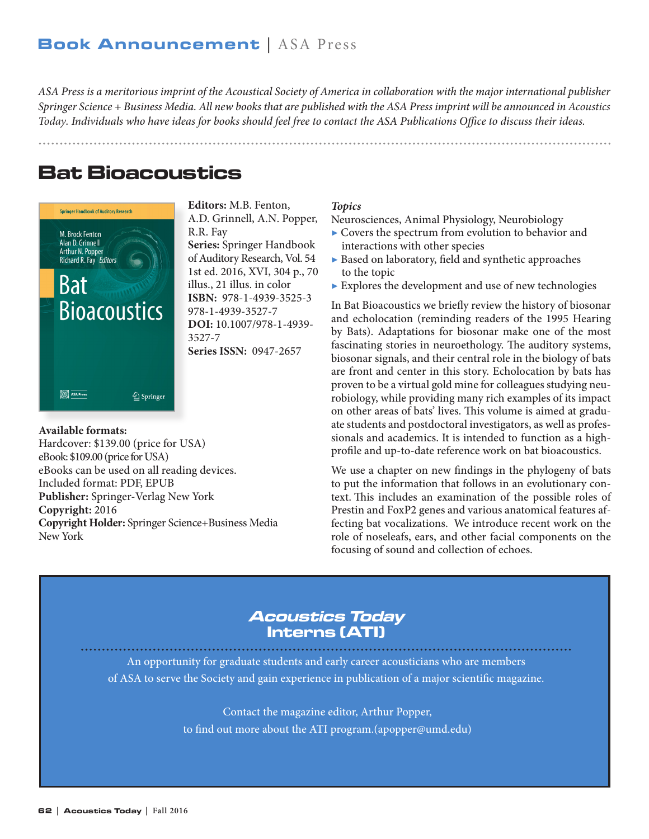*ASA Press is a meritorious imprint of the Acoustical Society of America in collaboration with the major international publisher Springer Science + Business Media. All new books that are published with the ASA Press imprint will be announced in Acoustics Today. Individuals who have ideas for books should feel free to contact the ASA Publications Office to discuss their ideas.*

# Bat Bioacoustics



Hardcover: \$139.00 (price for USA)

**Publisher:** Springer-Verlag New York

eBooks can be used on all reading devices.

**Copyright Holder:** Springer Science+Business Media

eBook: \$109.00 (price for USA)

Included format: PDF, EPUB

**Available formats:** 

**Copyright:** 2016

New York

**Editors:** M.B. Fenton, A.D. Grinnell, A.N. Popper, R.R. Fay **Series:** Springer Handbook of Auditory Research, Vol. 54 1st ed. 2016, XVI, 304 p., 70 illus., 21 illus. in color **ISBN:** 978-1-4939-3525-3 978-1-4939-3527-7 **DOI:** 10.1007/978-1-4939- 3527-7 **Series ISSN:** 0947-2657

#### *Topics*

Neurosciences, Animal Physiology, Neurobiology

- $\blacktriangleright$  Covers the spectrum from evolution to behavior and interactions with other species
- ▶ Based on laboratory, field and synthetic approaches to the topic
- $\blacktriangleright$  Explores the development and use of new technologies

In Bat Bioacoustics we briefly review the history of biosonar and echolocation (reminding readers of the 1995 Hearing by Bats). Adaptations for biosonar make one of the most fascinating stories in neuroethology. The auditory systems, biosonar signals, and their central role in the biology of bats are front and center in this story. Echolocation by bats has proven to be a virtual gold mine for colleagues studying neurobiology, while providing many rich examples of its impact on other areas of bats' lives. This volume is aimed at graduate students and postdoctoral investigators, as well as professionals and academics. It is intended to function as a highprofile and up-to-date reference work on bat bioacoustics.

We use a chapter on new findings in the phylogeny of bats to put the information that follows in an evolutionary context. This includes an examination of the possible roles of Prestin and FoxP2 genes and various anatomical features affecting bat vocalizations. We introduce recent work on the role of noseleafs, ears, and other facial components on the focusing of sound and collection of echoes.

### Acoustics Today Interns (ATI)

An opportunity for graduate students and early career acousticians who are members of ASA to serve the Society and gain experience in publication of a major scientific magazine.

> Contact the magazine editor, Arthur Popper, to find out more about the ATI program.(apopper@umd.edu)